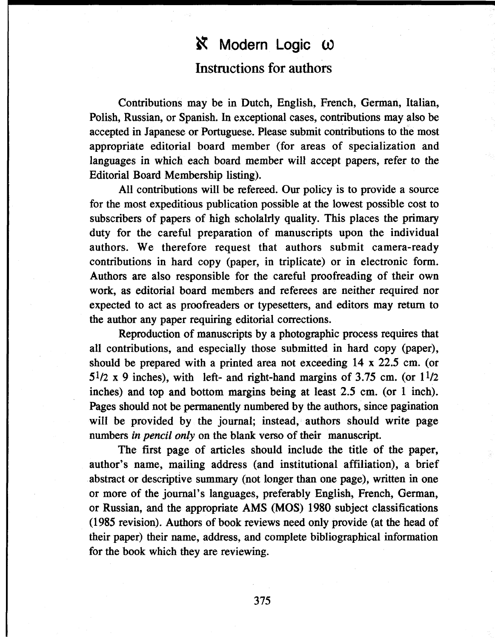## **K** Modern Logic ω

## **Instructions for authors**

Contributions may be in Dutch, English, French, German, Italian, Polish, Russian, or Spanish. In exceptional cases, contributions may also be accepted in Japanese or Portuguese. Please submit contributions to the most appropriate editorial board member (for areas of specialization and languages in which each board member will accept papers, refer to the Editorial Board Membership listing).

All contributions will be refereed. Our policy is to provide a source for the most expeditious publication possible at the lowest possible cost to subscribers of papers of high scholalrly quality. This places the primary duty for the careful preparation of manuscripts upon the individual authors. We therefore request that authors submit camera-ready contributions in hard copy (paper, in triplicate) or in electronic form. Authors are also responsible for the careful proofreading of their own work, as editorial board members and referees are neither required nor expected to act as proofreaders or typesetters, and editors may return to the author any paper requiring editorial corrections.

Reproduction of manuscripts by a photographic process requires that all contributions, and especially those submitted in hard copy (paper), should be prepared with a printed area not exceeding 14 x 22.5 cm. (or  $5^{1/2}$  x 9 inches), with left- and right-hand margins of 3.75 cm. (or  $1^{1/2}$ ) inches) and top and bottom margins being at least 2.5 cm. (or 1 inch). Pages should not be permanently numbered by the authors, since pagination will be provided by the journal; instead, authors should write page numbers *in pencil only* on the blank verso of their manuscript.

The first page of articles should include the title öf the paper, author's name, mailing address (and institutional affiliation), a brief abstract or descriptive summary (not longer than one page), written in one or more of the journal's languages, preferably English, French, German, or Russian, and the appropriate AMS (MOS) 1980 subject classifications (1985 revision). Authors of book reviews need only provide (at the head of their paper) their name, address, and complete bibliographical information for the book which they are reviewing.